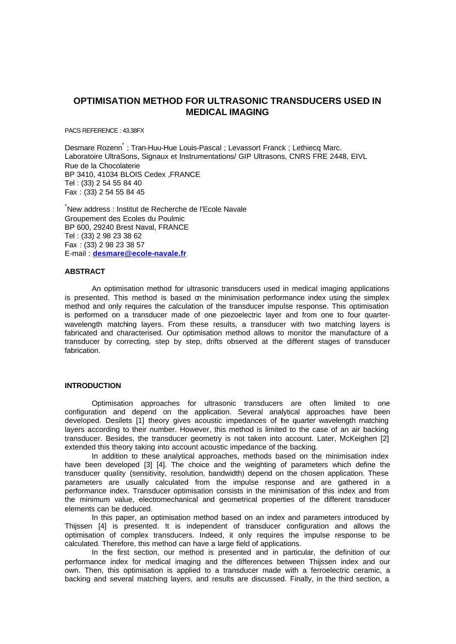# **OPTIMISATION METHOD FOR ULTRASONIC TRANSDUCERS USED IN MEDICAL IMAGING**

PACS REFERENCE : 43.38FX

Desmare Rozenn\* ; Tran-Huu-Hue Louis-Pascal ; Levassort Franck ; Lethiecq Marc. Laboratoire UltraSons, Signaux et Instrumentations/ GIP Ultrasons, CNRS FRE 2448, EIVL Rue de la Chocolaterie BP 3410, 41034 BLOIS Cedex ,FRANCE Tel : (33) 2 54 55 84 40 Fax : (33) 2 54 55 84 45

\*New address : Institut de Recherche de l'Ecole Navale Groupement des Ecoles du Poulmic BP 600, 29240 Brest Naval, FRANCE Tel : (33) 2 98 23 38 62 Fax : (33) 2 98 23 38 57 E-mail : **desmare@ecole-navale.fr**

## **ABSTRACT**

An optimisation method for ultrasonic transducers used in medical imaging applications is presented. This method is based on the minimisation performance index using the simplex method and only requires the calculation of the transducer impulse response. This optimisation is performed on a transducer made of one piezoelectric layer and from one to four quarterwavelength matching layers. From these results, a transducer with two matching layers is fabricated and characterised. Our optimisation method allows to monitor the manufacture of a transducer by correcting, step by step, drifts observed at the different stages of transducer fabrication.

#### **INTRODUCTION**

Optimisation approaches for ultrasonic transducers are often limited to one configuration and depend on the application. Several analytical approaches have been developed. Desilets [1] theory gives acoustic impedances of the quarter wavelength matching layers according to their number. However, this method is limited to the case of an air backing transducer. Besides, the transducer geometry is not taken into account. Later, McKeighen [2] extended this theory taking into account acoustic impedance of the backing.

In addition to these analytical approaches, methods based on the minimisation index have been developed [3] [4]. The choice and the weighting of parameters which define the transducer quality (sensitivity, resolution, bandwidth) depend on the chosen application. These parameters are usually calculated from the impulse response and are gathered in a performance index. Transducer optimisation consists in the minimisation of this index and from the minimum value, electromechanical and geometrical properties of the different transducer elements can be deduced.

In this paper, an optimisation method based on an index and parameters introduced by Thijssen [4] is presented. It is independent of transducer configuration and allows the optimisation of complex transducers. Indeed, it only requires the impulse response to be calculated. Therefore, this method can have a large field of applications.

In the first section, our method is presented and in particular, the definition of our performance index for medical imaging and the differences between Thijssen index and our own. Then, this optimisation is applied to a transducer made with a ferroelectric ceramic, a backing and several matching layers, and results are discussed. Finally, in the third section, a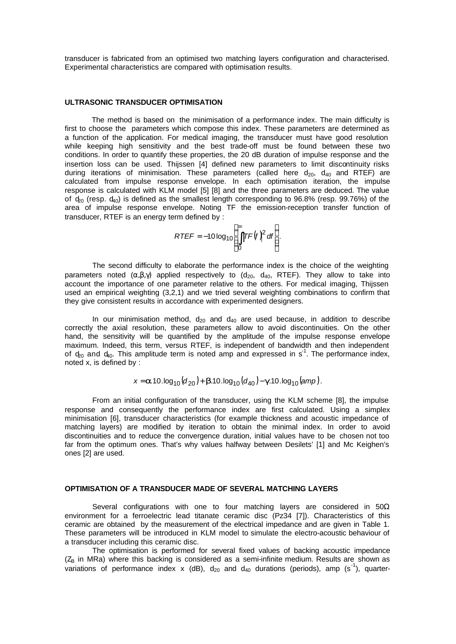transducer is fabricated from an optimised two matching layers configuration and characterised. Experimental characteristics are compared with optimisation results.

#### **ULTRASONIC TRANSDUCER OPTIMISATION**

The method is based on the minimisation of a performance index. The main difficulty is first to choose the parameters which compose this index. These parameters are determined as a function of the application. For medical imaging, the transducer must have good resolution while keeping high sensitivity and the best trade-off must be found between these two conditions. In order to quantify these properties, the 20 dB duration of impulse response and the insertion loss can be used. Thijssen [4] defined new parameters to limit discontinuity risks during iterations of minimisation. These parameters (called here  $d_{20}$ ,  $d_{40}$  and RTEF) are calculated from impulse response envelope. In each optimisation iteration, the impulse response is calculated with KLM model [5] [8] and the three parameters are deduced. The value of  $\phi_0$  (resp.  $d_{40}$ ) is defined as the smallest length corresponding to 96.8% (resp. 99.76%) of the area of impulse response envelope. Noting TF the emission-reception transfer function of transducer, RTEF is an energy term defined by :

$$
RTEF = -10\log_{10}\left(\int_{0}^{\infty} |TF(f)|^2 df\right).
$$

The second difficulty to elaborate the performance index is the choice of the weighting parameters noted  $(\alpha, \beta, \gamma)$  applied respectively to  $(d_{20}, d_{40}, RTEF)$ . They allow to take into account the importance of one parameter relative to the others. For medical imaging, Thijssen used an empirical weighting (3,2,1) and we tried several weighting combinations to confirm that they give consistent results in accordance with experimented designers.

In our minimisation method,  $d_{20}$  and  $d_{40}$  are used because, in addition to describe correctly the axial resolution, these parameters allow to avoid discontinuities. On the other hand, the sensitivity will be quantified by the amplitude of the impulse response envelope maximum. Indeed, this term, versus RTEF, is independent of bandwidth and then independent of  $d_{20}$  and  $d_{40}$ . This amplitude term is noted amp and expressed in s<sup>1</sup>. The performance index, noted x, is defined by :

$$
x = a 10. \log_{10}(d_{20}) + b 10. \log_{10}(d_{40}) - g 10. \log_{10}(amp).
$$

From an initial configuration of the transducer, using the KLM scheme [8], the impulse response and consequently the performance index are first calculated. Using a simplex minimisation [6], transducer characteristics (for example thickness and acoustic impedance of matching layers) are modified by iteration to obtain the minimal index. In order to avoid discontinuities and to reduce the convergence duration, initial values have to be chosen not too far from the optimum ones. That's why values halfway between Desilets' [1] and Mc Keighen's ones [2] are used.

## **OPTIMISATION OF A TRANSDUCER MADE OF SEVERAL MATCHING LAYERS**

Several configurations with one to four matching layers are considered in  $50\Omega$ environment for a ferroelectric lead titanate ceramic disc (Pz34 [7]). Characteristics of this ceramic are obtained by the measurement of the electrical impedance and are given in Table 1. These parameters will be introduced in KLM model to simulate the electro-acoustic behaviour of a transducer including this ceramic disc.

The optimisation is performed for several fixed values of backing acoustic impedance  $(Z<sub>B</sub>$  in MRa) where this backing is considered as a semi-infinite medium. Results are shown as variations of performance index x (dB),  $d_{20}$  and  $d_{40}$  durations (periods), amp (s<sup>-1</sup>), quarter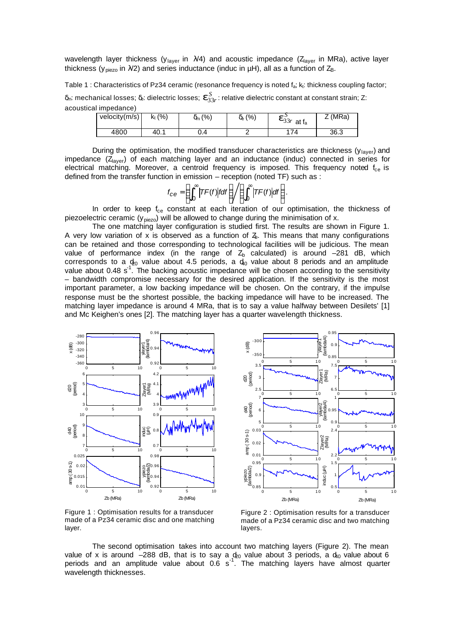wavelength layer thickness ( $y_{\text{layer}}$  in  $\lambda/4$ ) and acoustic impedance ( $Z_{\text{layer}}$  in MRa), active layer thickness ( $y_{\text{piezo}}$  in  $\lambda/2$ ) and series inductance (induc in  $\mu$ H), all as a function of  $Z_B$ .

Table 1 : Characteristics of Pz34 ceramic (resonance frequency is noted fa; kt: thickness coupling factor;

δ<sub>m</sub>: mechanical losses; δ<sub>e</sub>: dielectric losses;  $\bm{e}_{33r}^S$ : relative dielectric constant at constant strain; Ζ: acoustical impedance)

| velocity $(m/s)$ | $\frac{(9)}{0}$<br>$\mathsf{K}_\mathsf{t}$ | (% )<br>Om ( | $\delta_e$ (%) | $\mathbf{e}_{33r}^5$<br>at $f_a$ | <sup>ㅈ</sup> (MRa) |
|------------------|--------------------------------------------|--------------|----------------|----------------------------------|--------------------|
| 4800             | 40.1                                       | 0.4          |                | 74                               | 36.3               |

During the optimisation, the modified transducer characteristics are thickness (y<sub>layer</sub>) and impedance  $(Z<sub>layer</sub>)$  of each matching layer and an inductance (induc) connected in series for electrical matching. Moreover, a centroid frequency is imposed. This frequency noted  $f_{ce}$  is defined from the transfer function in emission – reception (noted TF) such as :

$$
f_{\rm Ce} = \left(\int_0^\infty \left|TF(f)\right|f df\right) / \left(\int_0^\infty \left|TF(f)\right| df\right).
$$

In order to keep  $f_{ce}$  constant at each iteration of our optimisation, the thickness of piezoelectric ceramic ( $y_{\text{piezo}}$ ) will be allowed to change during the minimisation of x.

The one matching layer configuration is studied first. The results are shown in Figure 1. A very low variation of x is observed as a function of  $\zeta$ . This means that many configurations can be retained and those corresponding to technological facilities will be judicious. The mean value of performance index (in the range of  $Z<sub>b</sub>$  calculated) is around -281 dB, which corresponds to a  $\phi_0$  value about 4.5 periods, a  $d_0$  value about 8 periods and an amplitude value about 0.48  $s<sup>1</sup>$ . The backing acoustic impedance will be chosen according to the sensitivity – bandwidth compromise necessary for the desired application. If the sensitivity is the most important parameter, a low backing impedance will be chosen. On the contrary, if the impulse response must be the shortest possible, the backing impedance will have to be increased. The matching layer impedance is around 4 MRa, that is to say a value halfway between Desilets' [1] and Mc Keighen's ones [2]. The matching layer has a quarter wavelength thickness.



Figure 1 : Optimisation results for a transducer made of a Pz34 ceramic disc and one matching layer.

Figure 2 : Optimisation results for a transducer made of a Pz34 ceramic disc and two matching layers.

The second optimisation takes into account two matching layers (Figure 2). The mean value of x is around –288 dB, that is to say a  $\phi_0$  value about 3 periods, a  $d_0$  value about 6 periods and an amplitude value about 0.6 s<sup>-1</sup>. The matching layers have almost quarter wavelength thicknesses.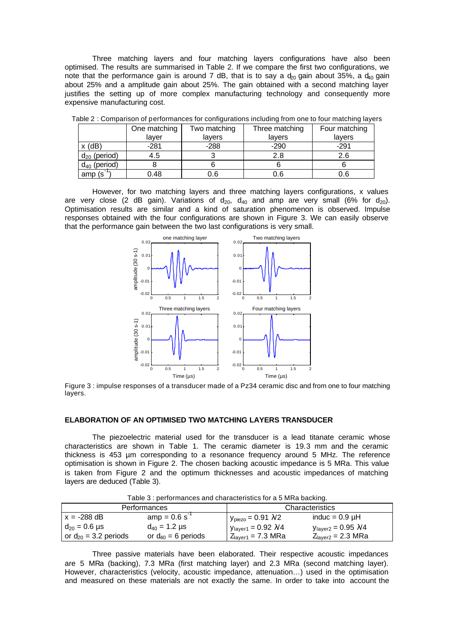Three matching layers and four matching layers configurations have also been optimised. The results are summarised in Table 2. If we compare the first two configurations, we note that the performance gain is around 7 dB, that is to say a  $d_{20}$  gain about 35%, a  $d_{40}$  gain about 25% and a amplitude gain about 25%. The gain obtained with a second matching layer justifies the setting up of more complex manufacturing technology and consequently more expensive manufacturing cost.

|                   | One matching | Two matching | Three matching | Four matching |
|-------------------|--------------|--------------|----------------|---------------|
|                   | laver        | lavers       | lavers         | lavers        |
| $x$ (dB)          | $-281$       | $-288$       | $-290$         | $-291$        |
| $d_{20}$ (period) | 4.5          |              | 2.8            | 2.6           |
| $d_{40}$ (period) |              |              |                |               |
| amp(s)            | 0.48         | 0.6          | 0.6            | 0.6           |

Table 2 : Comparison of performances for configurations including from one to four matching layers

However, for two matching layers and three matching layers configurations, x values are very close (2 dB gain). Variations of  $d_{20}$ ,  $d_{40}$  and amp are very small (6% for  $d_{20}$ ). Optimisation results are similar and a kind of saturation phenomenon is observed. Impulse responses obtained with the four configurations are shown in Figure 3. We can easily observe that the performance gain between the two last configurations is very small.



Figure 3 : impulse responses of a transducer made of a Pz34 ceramic disc and from one to four matching layers.

#### **ELABORATION OF AN OPTIMISED TWO MATCHING LAYERS TRANSDUCER**

The piezoelectric material used for the transducer is a lead titanate ceramic whose characteristics are shown in Table 1. The ceramic diameter is 19.3 mm and the ceramic thickness is 453 µm corresponding to a resonance frequency around 5 MHz. The reference optimisation is shown in Figure 2. The chosen backing acoustic impedance is 5 MRa. This value is taken from Figure 2 and the optimum thicknesses and acoustic impedances of matching layers are deduced (Table 3).

| Table 3 : performances and characteristics for a 5 MRa backing. |                         |                                                 |                                           |  |  |
|-----------------------------------------------------------------|-------------------------|-------------------------------------------------|-------------------------------------------|--|--|
| Performances                                                    |                         | Characteristics                                 |                                           |  |  |
| $x = -288$ dB                                                   | $amp = 0.6 s^{-1}$      | $y_{\text{piezo}} = 0.91$ $\lambda/2$           | induc = $0.9 \mu H$                       |  |  |
| $d_{20} = 0.6 \,\mu s$                                          | $d_{40} = 1.2 \,\mu s$  | $y_{\text{layer1}} = 0.92 \text{ }\mathcal{V}4$ | $y_{\text{layer2}}$ = 0.95 $\mathcal{N}4$ |  |  |
| or $d_{20}$ = 3.2 periods                                       | or $d_{40}$ = 6 periods | $Zlayer1 = 7.3 MRa$                             | $Z_{\text{layer2}}$ = 2.3 MRa             |  |  |

Table 3 : performances and characteristics for a 5 MRa backing.

Three passive materials have been elaborated. Their respective acoustic impedances are 5 MRa (backing), 7.3 MRa (first matching layer) and 2.3 MRa (second matching layer). However, characteristics (velocity, acoustic impedance, attenuation…) used in the optimisation and measured on these materials are not exactly the same. In order to take into account the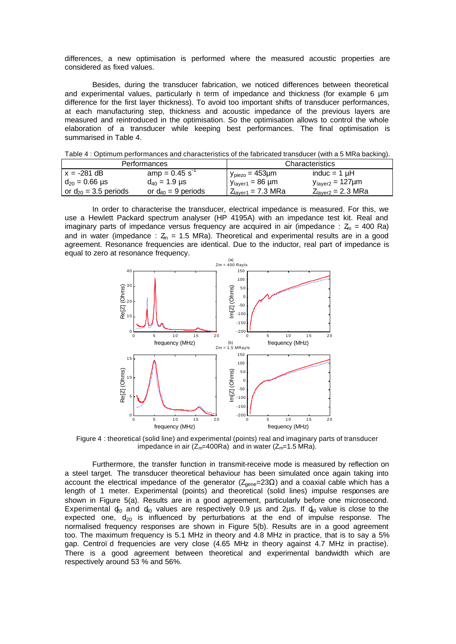differences, a new optimisation is performed where the measured acoustic properties are considered as fixed values.

Besides, during the transducer fabrication, we noticed differences between theoretical and experimental values, particularly in term of impedance and thickness (for example 6 µm difference for the first layer thickness). To avoid too important shifts of transducer performances, at each manufacturing step, thickness and acoustic impedance of the previous layers are measured and reintroduced in the optimisation. So the optimisation allows to control the whole elaboration of a transducer while keeping best performances. The final optimisation is summarised in Table 4.

| $\sim$ 0.00 $\sim$ 0.00 $\sim$ 0.000 $\sim$ 0.000 $\sim$ 0.000 $\sim$ 0.000 $\sim$ 0.000 $\sim$ 0.000 $\sim$ 0.000 $\sim$ 0.000 $\sim$ 0.000 $\sim$ 0.000 0.000 0.000 0.000 0.000 0.000 0.000 0.000 0.000 0.000 0.000 0.000 0.000 0.000 0.000 0.000 0 |                         |                                |                                 |  |
|-------------------------------------------------------------------------------------------------------------------------------------------------------------------------------------------------------------------------------------------------------|-------------------------|--------------------------------|---------------------------------|--|
| Performances                                                                                                                                                                                                                                          |                         | Characteristics                |                                 |  |
| $x = -281$ dB                                                                                                                                                                                                                                         | $amp = 0.45 s^{-1}$     | $y_{\text{piezo}} = 453 \mu m$ | induc = $1 \mu$ H               |  |
| $d_{20} = 0.66 \text{ }\mu\text{s}$                                                                                                                                                                                                                   | $d_{40} = 1.9 \,\mu s$  | $y_{\text{layer1}} = 86 \mu m$ | $y_{\text{layer2}} = 127 \mu m$ |  |
| or $d_{20}$ = 3.5 periods                                                                                                                                                                                                                             | or $d_{40}$ = 9 periods | $Zlaver1 = 7.3 MRa$            | Z <sub>laver2</sub> = 2.3 MRa   |  |

Table 4 : Optimum performances and characteristics of the fabricated transducer (with a 5 MRa backing).

In order to characterise the transducer, electrical impedance is measured. For this, we use a Hewlett Packard spectrum analyser (HP 4195A) with an impedance test kit. Real and imaginary parts of impedance versus frequency are acquired in air (impedance :  $Z_m = 400$  Ra) and in water (impedance :  $Z_m = 1.5$  MRa). Theoretical and experimental results are in a good agreement. Resonance frequencies are identical. Due to the inductor, real part of impedance is equal to zero at resonance frequency.



Figure 4 : theoretical (solid line) and experimental (points) real and imaginary parts of transducer impedance in air ( $Z_m$ =400Ra) and in water ( $Z_m$ =1.5 MRa).

Furthermore, the transfer function in transmit-receive mode is measured by reflection on a steel target. The transducer theoretical behaviour has been simulated once again taking into account the electrical impedance of the generator ( $Z_{\text{gene}}$ =23 $\Omega$ ) and a coaxial cable which has a length of 1 meter. Experimental (points) and theoretical (solid lines) impulse responses are shown in Figure 5(a). Results are in a good agreement, particularly before one microsecond. Experimental  $\phi_0$  and  $d_0$  values are respectively 0.9 µs and 2µs. If  $d_0$  value is close to the expected one,  $d_{20}$  is influenced by perturbations at the end of impulse response. The normalised frequency responses are shown in Figure 5(b). Results are in a good agreement too. The maximum frequency is 5.1 MHz in theory and 4.8 MHz in practice, that is to say a 5% gap. Centroïd frequencies are very close (4.65 MHz in theory against 4.7 MHz in practise). There is a good agreement between theoretical and experimental bandwidth which are respectively around 53 % and 56%.